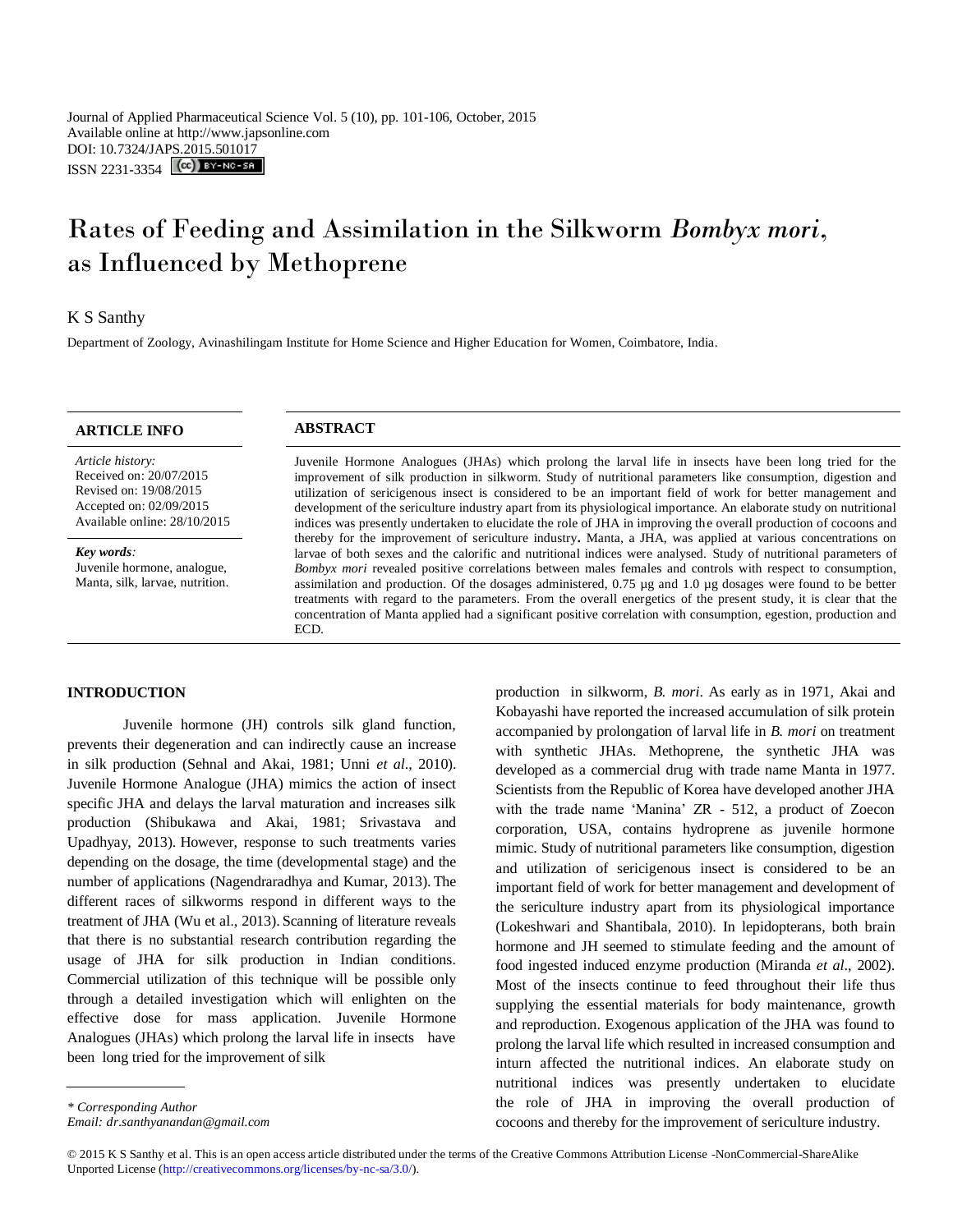# Rates of Feeding and Assimilation in the Silkworm *Bombyx mori*, as Influenced by Methoprene

# K S Santhy

Department of Zoology, Avinashilingam Institute for Home Science and Higher Education for Women, Coimbatore, India.

*Article history:* Received on: 20/07/2015 Revised on: 19/08/2015 Accepted on: 02/09/2015 Available online: 28/10/2015

*Key words:*  Juvenile hormone, analogue, Manta, silk, larvae, nutrition.

#### **ARTICLE INFO ABSTRACT**

Juvenile Hormone Analogues (JHAs) which prolong the larval life in insects have been long tried for the improvement of silk production in silkworm. Study of nutritional parameters like consumption, digestion and utilization of sericigenous insect is considered to be an important field of work for better management and development of the sericulture industry apart from its physiological importance. An elaborate study on nutritional indices was presently undertaken to elucidate the role of JHA in improving the overall production of cocoons and thereby for the improvement of sericulture industry**.** Manta, a JHA, was applied at various concentrations on larvae of both sexes and the calorific and nutritional indices were analysed. Study of nutritional parameters of *Bombyx mori* revealed positive correlations between males females and controls with respect to consumption, assimilation and production. Of the dosages administered, 0.75 µg and 1.0 µg dosages were found to be better treatments with regard to the parameters. From the overall energetics of the present study, it is clear that the concentration of Manta applied had a significant positive correlation with consumption, egestion, production and ECD.

# **INTRODUCTION**

Juvenile hormone (JH) controls silk gland function, prevents their degeneration and can indirectly cause an increase in silk production (Sehnal and Akai, 1981; Unni *et al*., 2010). Juvenile Hormone Analogue (JHA) mimics the action of insect specific JHA and delays the larval maturation and increases silk production (Shibukawa and Akai, 1981; Srivastava and Upadhyay, 2013). However, response to such treatments varies depending on the dosage, the time (developmental stage) and the number of applications (Nagendraradhya and Kumar, 2013). The different races of silkworms respond in different ways to the treatment of JHA (Wu et al., 2013). Scanning of literature reveals that there is no substantial research contribution regarding the usage of JHA for silk production in Indian conditions. Commercial utilization of this technique will be possible only through a detailed investigation which will enlighten on the effective dose for mass application. Juvenile Hormone Analogues (JHAs) which prolong the larval life in insects have been long tried for the improvement of silk

production in silkworm, *B. mori*. As early as in 1971, Akai and Kobayashi have reported the increased accumulation of silk protein accompanied by prolongation of larval life in *B. mori* on treatment with synthetic JHAs. Methoprene, the synthetic JHA was developed as a commercial drug with trade name Manta in 1977. Scientists from the Republic of Korea have developed another JHA with the trade name 'Manina' ZR - 512, a product of Zoecon corporation, USA, contains hydroprene as juvenile hormone mimic. Study of nutritional parameters like consumption, digestion and utilization of sericigenous insect is considered to be an important field of work for better management and development of the sericulture industry apart from its physiological importance (Lokeshwari and Shantibala, 2010). In lepidopterans, both brain hormone and JH seemed to stimulate feeding and the amount of food ingested induced enzyme production (Miranda *et al*., 2002). Most of the insects continue to feed throughout their life thus supplying the essential materials for body maintenance, growth and reproduction. Exogenous application of the JHA was found to prolong the larval life which resulted in increased consumption and inturn affected the nutritional indices. An elaborate study on nutritional indices was presently undertaken to elucidate the role of JHA in improving the overall production of cocoons and thereby for the improvement of sericulture industry.

*<sup>\*</sup> Corresponding Author*

*Email: dr.santhyanandan@gmail.com*

<sup>© 2015</sup> K S Santhy et al. This is an open access article distributed under the terms of the Creative Commons Attribution License -NonCommercial-ShareAlike Unported License (http://creativecommons.org/licenses/by-nc-sa/3.0/).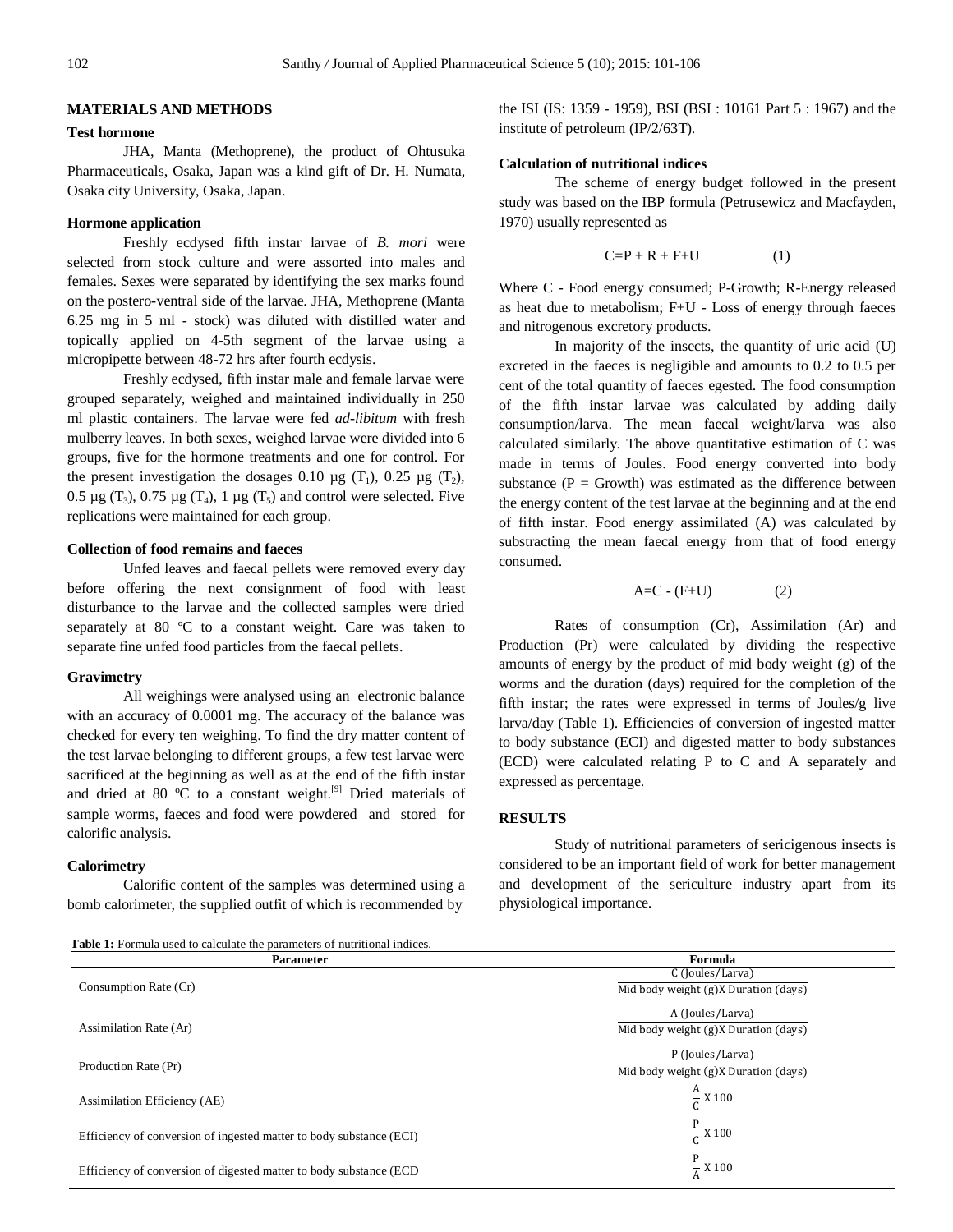#### **MATERIALS AND METHODS**

#### **Test hormone**

JHA, Manta (Methoprene), the product of Ohtusuka Pharmaceuticals, Osaka, Japan was a kind gift of Dr. H. Numata, Osaka city University, Osaka, Japan.

# **Hormone application**

Freshly ecdysed fifth instar larvae of *B. mori* were selected from stock culture and were assorted into males and females. Sexes were separated by identifying the sex marks found on the postero-ventral side of the larvae. JHA, Methoprene (Manta 6.25 mg in 5 ml - stock) was diluted with distilled water and topically applied on 4-5th segment of the larvae using a micropipette between 48-72 hrs after fourth ecdysis.

Freshly ecdysed, fifth instar male and female larvae were grouped separately, weighed and maintained individually in 250 ml plastic containers. The larvae were fed *ad-libitum* with fresh mulberry leaves. In both sexes, weighed larvae were divided into 6 groups, five for the hormone treatments and one for control. For the present investigation the dosages 0.10  $\mu$ g (T<sub>1</sub>), 0.25  $\mu$ g (T<sub>2</sub>), 0.5  $\mu$ g (T<sub>3</sub>), 0.75  $\mu$ g (T<sub>4</sub>), 1  $\mu$ g (T<sub>5</sub>) and control were selected. Five replications were maintained for each group.

#### **Collection of food remains and faeces**

Unfed leaves and faecal pellets were removed every day before offering the next consignment of food with least disturbance to the larvae and the collected samples were dried separately at 80 ºC to a constant weight. Care was taken to separate fine unfed food particles from the faecal pellets.

#### **Gravimetry**

All weighings were analysed using an electronic balance with an accuracy of 0.0001 mg. The accuracy of the balance was checked for every ten weighing. To find the dry matter content of the test larvae belonging to different groups, a few test larvae were sacrificed at the beginning as well as at the end of the fifth instar and dried at 80  $^{\circ}$ C to a constant weight.<sup>[9]</sup> Dried materials of sample worms, faeces and food were powdered and stored for calorific analysis.

### **Calorimetry**

Calorific content of the samples was determined using a bomb calorimeter, the supplied outfit of which is recommended by

 **Table 1:** Formula used to calculate the parameters of nutritional indices.

the ISI (IS: 1359 - 1959), BSI (BSI : 10161 Part 5 : 1967) and the institute of petroleum (IP/2/63T).

#### **Calculation of nutritional indices**

The scheme of energy budget followed in the present study was based on the IBP formula (Petrusewicz and Macfayden, 1970) usually represented as

$$
C = P + R + F + U \tag{1}
$$

Where C - Food energy consumed; P-Growth; R-Energy released as heat due to metabolism; F+U - Loss of energy through faeces and nitrogenous excretory products.

In majority of the insects, the quantity of uric acid (U) excreted in the faeces is negligible and amounts to 0.2 to 0.5 per cent of the total quantity of faeces egested. The food consumption of the fifth instar larvae was calculated by adding daily consumption/larva. The mean faecal weight/larva was also calculated similarly. The above quantitative estimation of C was made in terms of Joules. Food energy converted into body substance  $(P = Growth)$  was estimated as the difference between the energy content of the test larvae at the beginning and at the end of fifth instar. Food energy assimilated (A) was calculated by substracting the mean faecal energy from that of food energy consumed.

$$
A=C - (F+U) \tag{2}
$$

Rates of consumption (Cr), Assimilation (Ar) and Production (Pr) were calculated by dividing the respective amounts of energy by the product of mid body weight (g) of the worms and the duration (days) required for the completion of the fifth instar; the rates were expressed in terms of Joules/g live larva/day (Table 1). Efficiencies of conversion of ingested matter to body substance (ECI) and digested matter to body substances (ECD) were calculated relating P to C and A separately and expressed as percentage.

## **RESULTS**

Study of nutritional parameters of sericigenous insects is considered to be an important field of work for better management and development of the sericulture industry apart from its physiological importance.

| <b>Parameter</b>                                                    | Formula                              |  |
|---------------------------------------------------------------------|--------------------------------------|--|
|                                                                     | C (Joules/Larva)                     |  |
| Consumption Rate (Cr)                                               | Mid body weight (g)X Duration (days) |  |
|                                                                     | A (Joules/Larva)                     |  |
| Assimilation Rate (Ar)                                              | Mid body weight (g)X Duration (days) |  |
|                                                                     | P (Joules/Larva)                     |  |
| Production Rate (Pr)                                                | Mid body weight (g)X Duration (days) |  |
| Assimilation Efficiency (AE)                                        | A<br>$\frac{11}{6}$ X 100            |  |
| Efficiency of conversion of ingested matter to body substance (ECI) | P<br>$\frac{1}{6}$ X 100             |  |
| Efficiency of conversion of digested matter to body substance (ECD) | $\div$ X 100                         |  |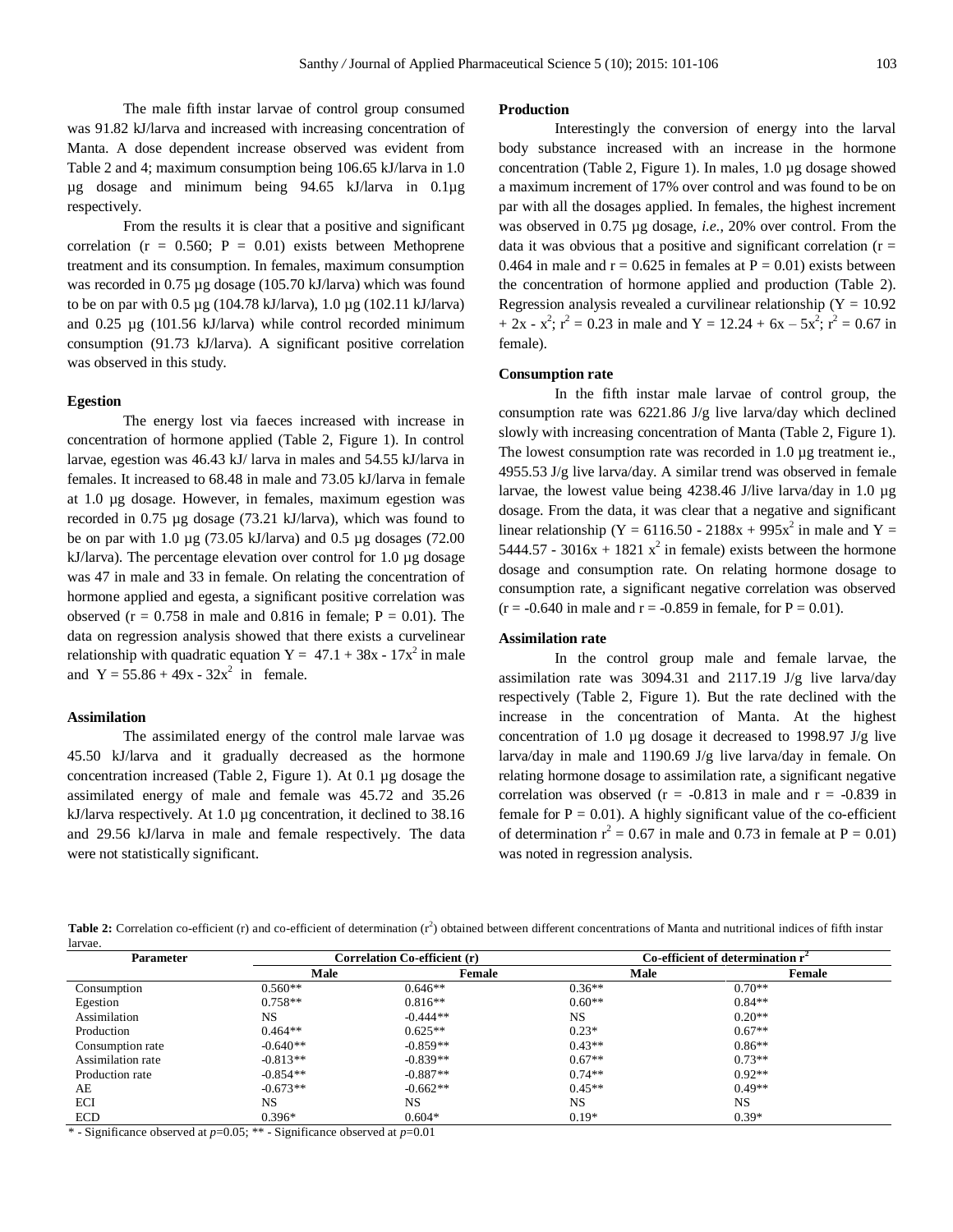The male fifth instar larvae of control group consumed was 91.82 kJ/larva and increased with increasing concentration of Manta. A dose dependent increase observed was evident from Table 2 and 4; maximum consumption being 106.65 kJ/larva in 1.0 µg dosage and minimum being 94.65 kJ/larva in 0.1µg respectively.

From the results it is clear that a positive and significant correlation ( $r = 0.560$ ;  $P = 0.01$ ) exists between Methoprene treatment and its consumption. In females, maximum consumption was recorded in 0.75 µg dosage (105.70 kJ/larva) which was found to be on par with 0.5 µg (104.78 kJ/larva), 1.0 µg (102.11 kJ/larva) and 0.25 µg (101.56 kJ/larva) while control recorded minimum consumption (91.73 kJ/larva). A significant positive correlation was observed in this study.

#### **Egestion**

The energy lost via faeces increased with increase in concentration of hormone applied (Table 2, Figure 1). In control larvae, egestion was 46.43 kJ/ larva in males and 54.55 kJ/larva in females. It increased to 68.48 in male and 73.05 kJ/larva in female at 1.0 µg dosage. However, in females, maximum egestion was recorded in 0.75 µg dosage (73.21 kJ/larva), which was found to be on par with 1.0 µg (73.05 kJ/larva) and 0.5 µg dosages (72.00 kJ/larva). The percentage elevation over control for 1.0 µg dosage was 47 in male and 33 in female. On relating the concentration of hormone applied and egesta, a significant positive correlation was observed ( $r = 0.758$  in male and 0.816 in female;  $P = 0.01$ ). The data on regression analysis showed that there exists a curvelinear relationship with quadratic equation  $Y = 47.1 + 38x - 17x^2$  in male and  $Y = 55.86 + 49x - 32x^2$  in female.

#### **Assimilation**

The assimilated energy of the control male larvae was 45.50 kJ/larva and it gradually decreased as the hormone concentration increased (Table 2, Figure 1). At 0.1 µg dosage the assimilated energy of male and female was 45.72 and 35.26 kJ/larva respectively. At 1.0 µg concentration, it declined to 38.16 and 29.56 kJ/larva in male and female respectively. The data were not statistically significant.

#### **Production**

Interestingly the conversion of energy into the larval body substance increased with an increase in the hormone concentration (Table 2, Figure 1). In males, 1.0 µg dosage showed a maximum increment of 17% over control and was found to be on par with all the dosages applied. In females, the highest increment was observed in 0.75 µg dosage, *i.e.*, 20% over control. From the data it was obvious that a positive and significant correlation  $(r =$ 0.464 in male and  $r = 0.625$  in females at  $P = 0.01$ ) exists between the concentration of hormone applied and production (Table 2). Regression analysis revealed a curvilinear relationship ( $Y = 10.92$ )  $+ 2x - x^2$ ;  $r^2 = 0.23$  in male and Y = 12.24 + 6x - 5x<sup>2</sup>;  $r^2 = 0.67$  in female).

### **Consumption rate**

In the fifth instar male larvae of control group, the consumption rate was 6221.86 J/g live larva/day which declined slowly with increasing concentration of Manta (Table 2, Figure 1). The lowest consumption rate was recorded in 1.0 µg treatment ie., 4955.53 J/g live larva/day. A similar trend was observed in female larvae, the lowest value being 4238.46 J/live larva/day in 1.0 µg dosage. From the data, it was clear that a negative and significant linear relationship (Y = 6116.50 - 2188x + 995 $x^2$  in male and Y = 5444.57 - 3016x + 1821  $x^2$  in female) exists between the hormone dosage and consumption rate. On relating hormone dosage to consumption rate, a significant negative correlation was observed  $(r = -0.640 \text{ in male and } r = -0.859 \text{ in female, for } P = 0.01).$ 

#### **Assimilation rate**

In the control group male and female larvae, the assimilation rate was 3094.31 and 2117.19 J/g live larva/day respectively (Table 2, Figure 1). But the rate declined with the increase in the concentration of Manta. At the highest concentration of 1.0 µg dosage it decreased to 1998.97 J/g live larva/day in male and 1190.69 J/g live larva/day in female. On relating hormone dosage to assimilation rate, a significant negative correlation was observed ( $r = -0.813$  in male and  $r = -0.839$  in female for  $P = 0.01$ ). A highly significant value of the co-efficient of determination  $r^2 = 0.67$  in male and 0.73 in female at P = 0.01) was noted in regression analysis.

**Table 2:** Correlation co-efficient (r) and co-efficient of determination  $(r^2)$  obtained between different concentrations of Manta and nutritional indices of fifth instar larvae.

| Parameter         | Correlation Co-efficient (r) |            | Co-efficient of determination r' |           |
|-------------------|------------------------------|------------|----------------------------------|-----------|
|                   | Male                         | Female     | Male                             | Female    |
| Consumption       | $0.560**$                    | $0.646**$  | $0.36**$                         | $0.70**$  |
| Egestion          | $0.758**$                    | $0.816**$  | $0.60**$                         | $0.84**$  |
| Assimilation      | NS                           | $-0.444**$ | NS                               | $0.20**$  |
| Production        | $0.464**$                    | $0.625**$  | $0.23*$                          | $0.67**$  |
| Consumption rate  | $-0.640**$                   | $-0.859**$ | $0.43**$                         | $0.86**$  |
| Assimilation rate | $-0.813**$                   | $-0.839**$ | $0.67**$                         | $0.73**$  |
| Production rate   | $-0.854**$                   | $-0.887**$ | $0.74**$                         | $0.92**$  |
| AE                | $-0.673**$                   | $-0.662**$ | $0.45**$                         | $0.49**$  |
| ECI               | <b>NS</b>                    | <b>NS</b>  | NS                               | <b>NS</b> |
| <b>ECD</b>        | $0.396*$                     | $0.604*$   | $0.19*$                          | $0.39*$   |

\* - Significance observed at *p*=0.05; \*\* - Significance observed at *p*=0.01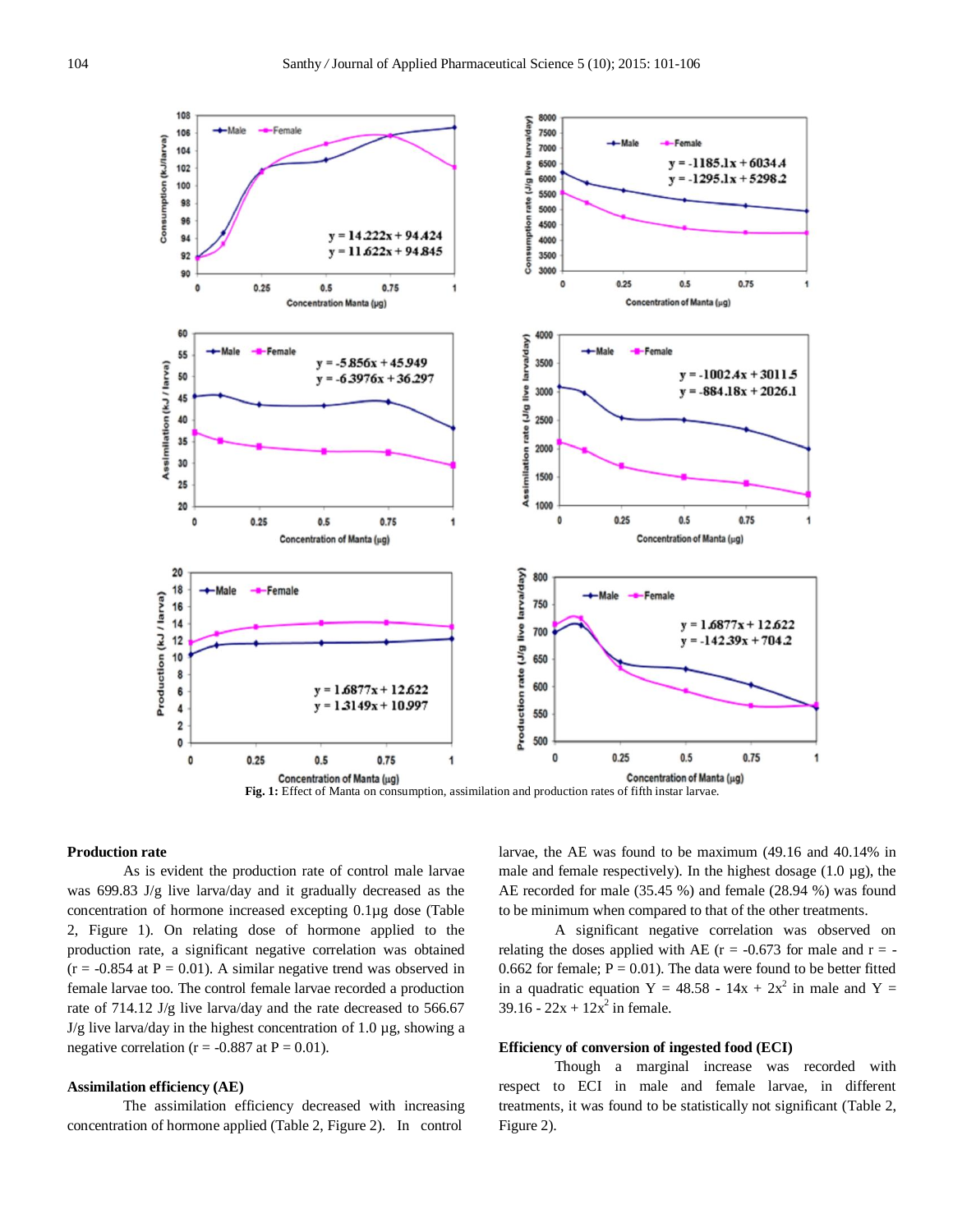

**Fig. 1:** Effect of Manta on consumption, assimilation and production rates of fifth instar larvae.

#### **Production rate**

As is evident the production rate of control male larvae was 699.83 J/g live larva/day and it gradually decreased as the concentration of hormone increased excepting 0.1µg dose (Table 2, Figure 1). On relating dose of hormone applied to the production rate, a significant negative correlation was obtained  $(r = -0.854$  at  $P = 0.01$ ). A similar negative trend was observed in female larvae too. The control female larvae recorded a production rate of 714.12 J/g live larva/day and the rate decreased to 566.67 J/g live larva/day in the highest concentration of 1.0 µg, showing a negative correlation ( $r = -0.887$  at  $P = 0.01$ ).

#### **Assimilation efficiency (AE)**

The assimilation efficiency decreased with increasing concentration of hormone applied (Table 2, Figure 2). In control

larvae, the AE was found to be maximum (49.16 and 40.14% in male and female respectively). In the highest dosage  $(1.0 \mu g)$ , the AE recorded for male (35.45 %) and female (28.94 %) was found to be minimum when compared to that of the other treatments.

A significant negative correlation was observed on relating the doses applied with AE ( $r = -0.673$  for male and  $r = -$ 0.662 for female;  $P = 0.01$ ). The data were found to be better fitted in a quadratic equation Y = 48.58 -  $14x + 2x^2$  in male and Y = 39.16 - 22x +  $12x^2$  in female.

#### **Efficiency of conversion of ingested food (ECI)**

Though a marginal increase was recorded with respect to ECI in male and female larvae, in different treatments, it was found to be statistically not significant (Table 2, Figure 2).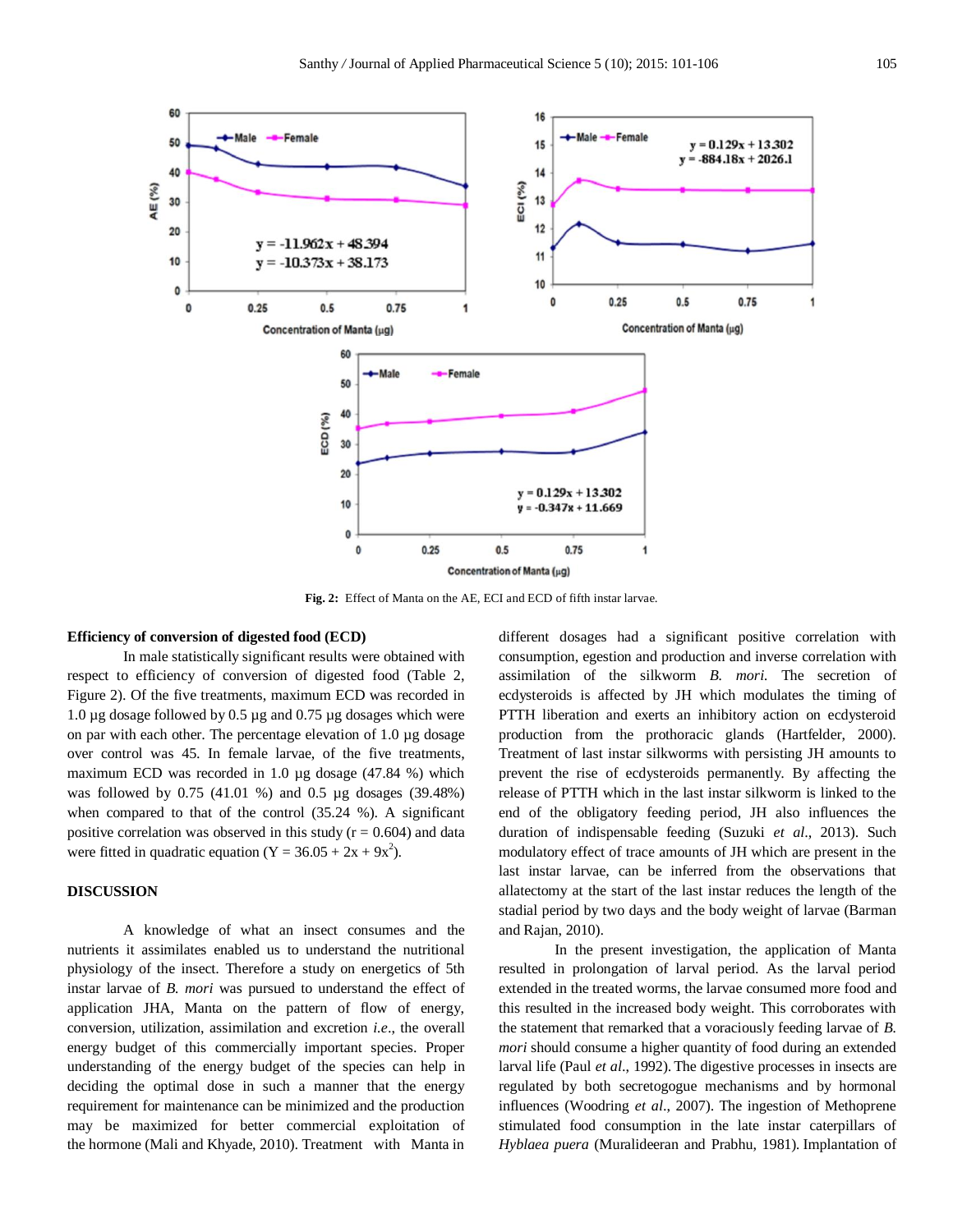

**Fig. 2:** Effect of Manta on the AE, ECI and ECD of fifth instar larvae.

#### **Efficiency of conversion of digested food (ECD)**

In male statistically significant results were obtained with respect to efficiency of conversion of digested food (Table 2, Figure 2). Of the five treatments, maximum ECD was recorded in 1.0 µg dosage followed by 0.5 µg and 0.75 µg dosages which were on par with each other. The percentage elevation of 1.0 µg dosage over control was 45. In female larvae, of the five treatments, maximum ECD was recorded in 1.0 µg dosage (47.84 %) which was followed by 0.75 (41.01 %) and 0.5 µg dosages (39.48%) when compared to that of the control (35.24 %). A significant positive correlation was observed in this study ( $r = 0.604$ ) and data were fitted in quadratic equation  $(Y = 36.05 + 2x + 9x^2)$ .

# **DISCUSSION**

A knowledge of what an insect consumes and the nutrients it assimilates enabled us to understand the nutritional physiology of the insect. Therefore a study on energetics of 5th instar larvae of *B. mori* was pursued to understand the effect of application JHA, Manta on the pattern of flow of energy, conversion, utilization, assimilation and excretion *i.e*., the overall energy budget of this commercially important species. Proper understanding of the energy budget of the species can help in deciding the optimal dose in such a manner that the energy requirement for maintenance can be minimized and the production may be maximized for better commercial exploitation of the hormone (Mali and Khyade, 2010). Treatment with Manta in

different dosages had a significant positive correlation with consumption, egestion and production and inverse correlation with assimilation of the silkworm *B. mori.* The secretion of ecdysteroids is affected by JH which modulates the timing of PTTH liberation and exerts an inhibitory action on ecdysteroid production from the prothoracic glands (Hartfelder, 2000). Treatment of last instar silkworms with persisting JH amounts to prevent the rise of ecdysteroids permanently. By affecting the release of PTTH which in the last instar silkworm is linked to the end of the obligatory feeding period, JH also influences the duration of indispensable feeding (Suzuki *et al*., 2013). Such modulatory effect of trace amounts of JH which are present in the last instar larvae, can be inferred from the observations that allatectomy at the start of the last instar reduces the length of the stadial period by two days and the body weight of larvae (Barman and Rajan, 2010).

In the present investigation, the application of Manta resulted in prolongation of larval period. As the larval period extended in the treated worms, the larvae consumed more food and this resulted in the increased body weight. This corroborates with the statement that remarked that a voraciously feeding larvae of *B. mori* should consume a higher quantity of food during an extended larval life (Paul *et al*., 1992). The digestive processes in insects are regulated by both secretogogue mechanisms and by hormonal influences (Woodring *et al*., 2007). The ingestion of Methoprene stimulated food consumption in the late instar caterpillars of *Hyblaea puera* (Muralideeran and Prabhu, 1981)*.* Implantation of